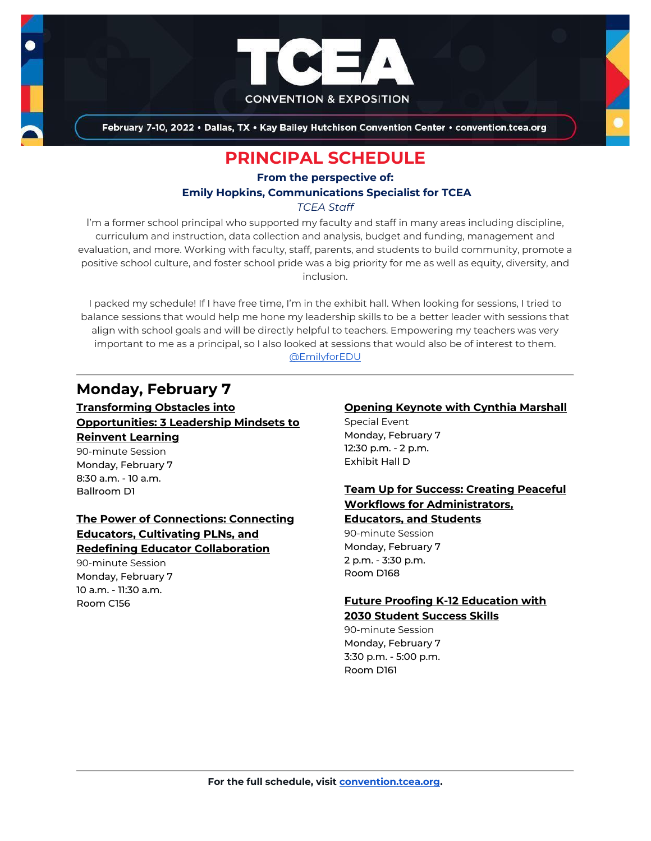

February 7-10, 2022 . Dallas, TX . Kay Bailey Hutchison Convention Center . convention.tcea.org

# **PRINCIPAL SCHEDULE**

# **From the perspective of: Emily Hopkins, Communications Specialist for TCEA**

*TCEA Staff*

I'm a former school principal who supported my faculty and staff in many areas including discipline, curriculum and instruction, data collection and analysis, budget and funding, management and evaluation, and more. Working with faculty, staff, parents, and students to build community, promote a positive school culture, and foster school pride was a big priority for me as well as equity, diversity, and inclusion.

I packed my schedule! If I have free time, I'm in the exhibit hall. When looking for sessions, I tried to balance sessions that would help me hone my leadership skills to be a better leader with sessions that align with school goals and will be directly helpful to teachers. Empowering my teachers was very important to me as a principal, so I also looked at sessions that would also be of interest to them. [@EmilyforEDU](https://twitter.com/EmilyforEdu)

# **Monday, February 7**

**Transforming Obstacles into Opportunities: 3 Leadership Mindsets to Reinvent Learning** 90-minute Session Monday, February 7 8:30 a.m. - 10 a.m. Ballroom D1

**The Power of Connections: Connecting Educators, Cultivating PLNs, and Redefining Educator Collaboration**

90-minute Session Monday, February 7 10 a.m. - 11:30 a.m. Room C156

### **[Opening Keynote with Cynthia Marshall](https://register.tcea.org/2022/session_list.cfm?session_key=5F0745B8-F04D-A206-2B64-0D4631096E34&session_date=Monday,%20Feb%2007,%202022)**

Special Event Monday, February 7 12:30 p.m. - 2 p.m. Exhibit Hall D

# **Team Up for Success: Creating Peaceful Workflows for Administrators,**

**Educators, and Students**

90-minute Session Monday, February 7 2 p.m. - 3:30 p.m. Room D168

### **Future Proofing K-12 Education with 2030 Student Success Skills**

90-minute Session Monday, February 7 3:30 p.m. - 5:00 p.m. Room D161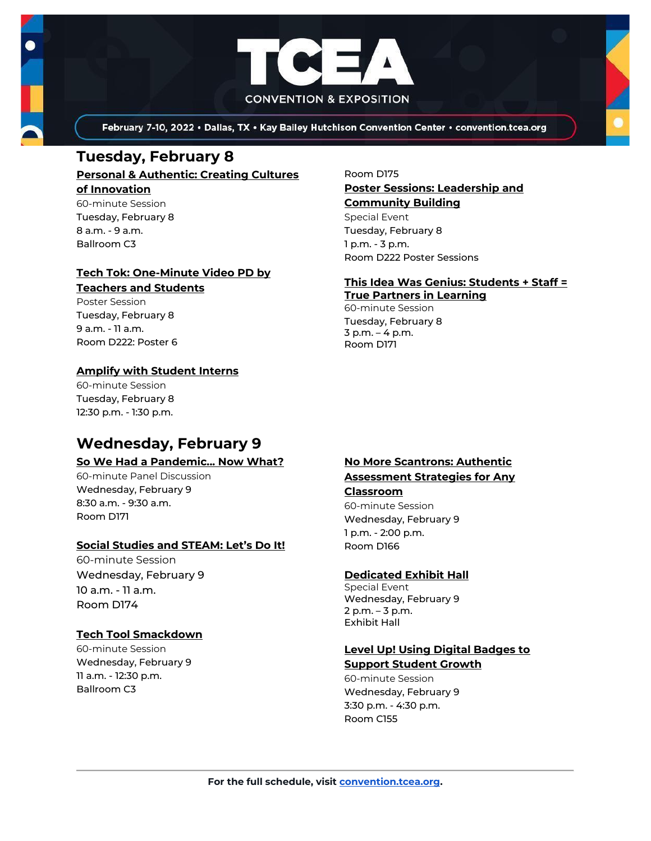

February 7-10, 2022 . Dallas, TX . Kay Bailey Hutchison Convention Center . convention.tcea.org

# **Tuesday, February 8**

#### **Personal & Authentic: Creating Cultures of Innovation** 60-minute Session

Tuesday, February 8 8 a.m. - 9 a.m. Ballroom C3

# **Tech Tok: One-Minute Video PD by**

# **Teachers and Students**

Poster Session Tuesday, February 8 9 a.m. - 11 a.m. Room D222: Poster 6

# **Amplify with Student Interns**

60-minute Session Tuesday, February 8 12:30 p.m. - 1:30 p.m.

# **Wednesday, February 9**

#### **So We Had a Pandemic... Now What?**

60-minute Panel Discussion Wednesday, February 9 8:30 a.m. - 9:30 a.m. Room D171

### **Social Studies and STEAM: Let's Do It!**

60-minute Session Wednesday, February 9 10 a.m. - 11 a.m. Room D174

### **Tech Tool Smackdown**

60-minute Session Wednesday, February 9 11 a.m. - 12:30 p.m. Ballroom C3

#### Room D175

#### **Poster Sessions: Leadership and Community Building**

Special Event Tuesday, February 8 1 p.m. - 3 p.m. Room D222 Poster Sessions

# **This Idea Was Genius: Students + Staff =**

**True Partners in Learning** 60-minute Session Tuesday, February 8 3 p.m. – 4 p.m. Room D171

# **No More Scantrons: Authentic Assessment Strategies for Any Classroom**

60-minute Session Wednesday, February 9 1 p.m. - 2:00 p.m. Room D166

### **[Dedicated Exhibit Hall](https://register.tcea.org/2022/session_list.cfm?session_key=61CDD8E6-F04D-A206-2B64-74AAAD8173D7&session_date=Wednesday,%20Feb%2009,%202022)**

Special Event Wednesday, February 9 2 p.m. – 3 p.m. Exhibit Hall

# **Level Up! Using Digital Badges to**

**Support Student Growth** 60-minute Session Wednesday, February 9 3:30 p.m. - 4:30 p.m. Room C155